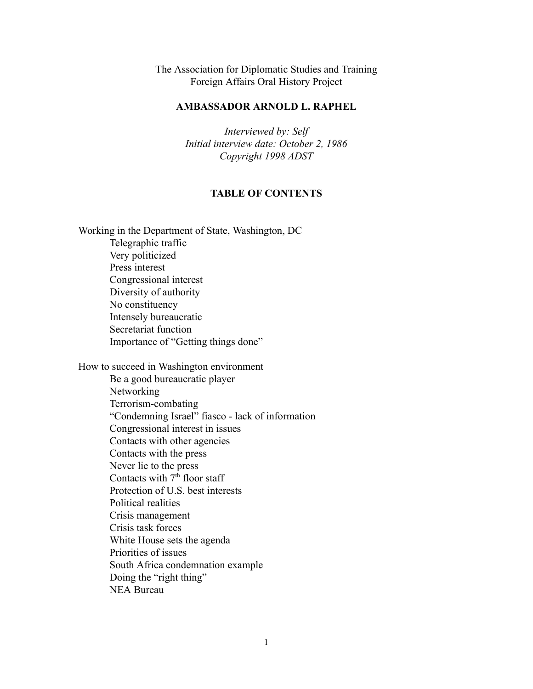The Association for Diplomatic Studies and Training Foreign Affairs Oral History Project

## **AMBASSADOR ARNOLD L. RAPHEL**

*Interviewed by: Self Initial interview date: October 2, 1986 Copyright 1998 ADST*

## **TABLE OF CONTENTS**

Working in the Department of State, Washington, DC Telegraphic traffic Very politicized Press interest Congressional interest Diversity of authority No constituency Intensely bureaucratic Secretariat function Importance of "Getting things done"

How to succeed in Washington environment Be a good bureaucratic player Networking Terrorism-combating "Condemning Israel" fiasco - lack of information Congressional interest in issues Contacts with other agencies Contacts with the press Never lie to the press Contacts with  $7<sup>th</sup>$  floor staff Protection of U.S. best interests Political realities Crisis management Crisis task forces White House sets the agenda Priorities of issues South Africa condemnation example Doing the "right thing" NEA Bureau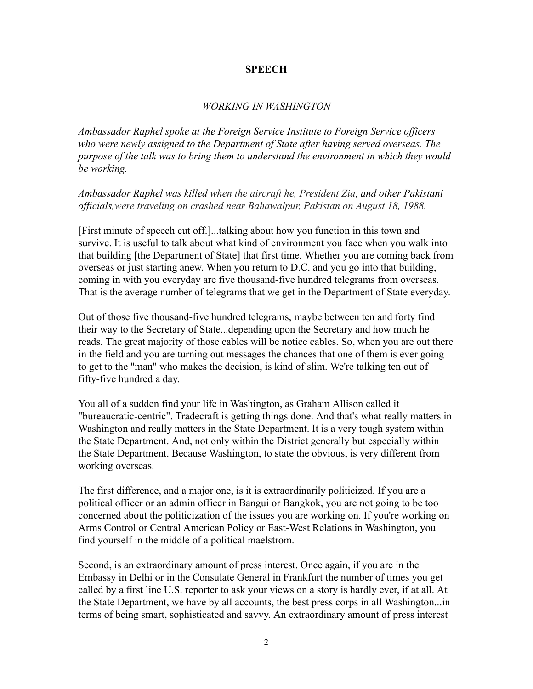## **SPEECH**

## *WORKING IN WASHINGTON*

*Ambassador Raphel spoke at the Foreign Service Institute to Foreign Service officers who were newly assigned to the Department of State after having served overseas. The purpose of the talk was to bring them to understand the environment in which they would be working.*

*Ambassador Raphel was killed when the aircraft he, President Zia, and other Pakistani officials,were traveling on crashed near Bahawalpur, Pakistan on August 18, 1988.*

[First minute of speech cut off.]...talking about how you function in this town and survive. It is useful to talk about what kind of environment you face when you walk into that building [the Department of State] that first time. Whether you are coming back from overseas or just starting anew. When you return to D.C. and you go into that building, coming in with you everyday are five thousand-five hundred telegrams from overseas. That is the average number of telegrams that we get in the Department of State everyday.

Out of those five thousand-five hundred telegrams, maybe between ten and forty find their way to the Secretary of State...depending upon the Secretary and how much he reads. The great majority of those cables will be notice cables. So, when you are out there in the field and you are turning out messages the chances that one of them is ever going to get to the "man" who makes the decision, is kind of slim. We're talking ten out of fifty-five hundred a day.

You all of a sudden find your life in Washington, as Graham Allison called it "bureaucratic-centric". Tradecraft is getting things done. And that's what really matters in Washington and really matters in the State Department. It is a very tough system within the State Department. And, not only within the District generally but especially within the State Department. Because Washington, to state the obvious, is very different from working overseas.

The first difference, and a major one, is it is extraordinarily politicized. If you are a political officer or an admin officer in Bangui or Bangkok, you are not going to be too concerned about the politicization of the issues you are working on. If you're working on Arms Control or Central American Policy or East-West Relations in Washington, you find yourself in the middle of a political maelstrom.

Second, is an extraordinary amount of press interest. Once again, if you are in the Embassy in Delhi or in the Consulate General in Frankfurt the number of times you get called by a first line U.S. reporter to ask your views on a story is hardly ever, if at all. At the State Department, we have by all accounts, the best press corps in all Washington...in terms of being smart, sophisticated and savvy. An extraordinary amount of press interest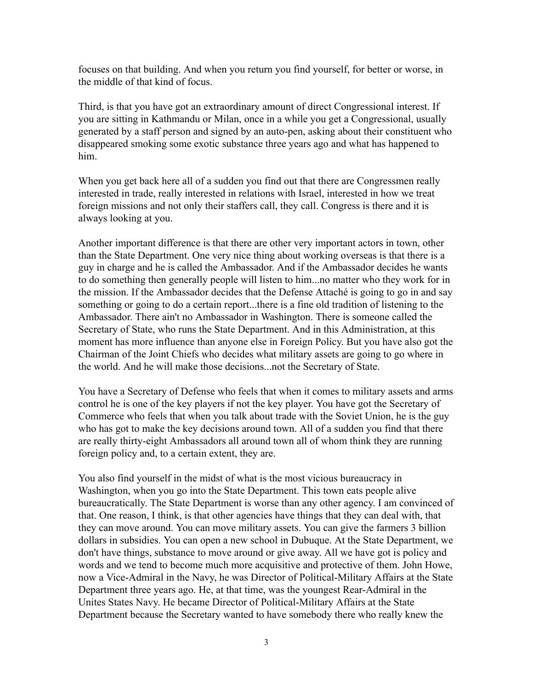focuses on that building. And when you return you find yourself, for better or worse, in the middle of that kind of focus.

Third, is that you have got an extraordinary amount of direct Congressional interest. If you are sitting in Kathmandu or Milan, once in a while you get a Congressional, usually generated by a staff person and signed by an auto-pen, asking about their constituent who disappeared smoking some exotic substance three years ago and what has happened to him.

When you get back here all of a sudden you find out that there are Congressmen really interested in trade, really interested in relations with Israel, interested in how we treat foreign missions and not only their staffers call, they call. Congress is there and it is always looking at you.

Another important difference is that there are other very important actors in town, other than the State Department. One very nice thing about working overseas is that there is a guy in charge and he is called the Ambassador. And if the Ambassador decides he wants to do something then generally people will listen to him...no matter who they work for in the mission. If the Ambassador decides that the Defense Attaché is going to go in and say something or going to do a certain report...there is a fine old tradition of listening to the Ambassador. There ain't no Ambassador in Washington. There is someone called the Secretary of State, who runs the State Department. And in this Administration, at this moment has more influence than anyone else in Foreign Policy. But you have also got the Chairman of the Joint Chiefs who decides what military assets are going to go where in the world. And he will make those decisions...not the Secretary of State.

You have a Secretary of Defense who feels that when it comes to military assets and arms control he is one of the key players if not the key player. You have got the Secretary of Commerce who feels that when you talk about trade with the Soviet Union, he is the guy who has got to make the key decisions around town. All of a sudden you find that there are really thirty-eight Ambassadors all around town all of whom think they are running foreign policy and, to a certain extent, they are.

You also find yourself in the midst of what is the most vicious bureaucracy in Washington, when you go into the State Department. This town eats people alive bureaucratically. The State Department is worse than any other agency. I am convinced of that. One reason, I think, is that other agencies have things that they can deal with, that they can move around. You can move military assets. You can give the farmers 3 billion dollars in subsidies. You can open a new school in Dubuque. At the State Department, we don't have things, substance to move around or give away. All we have got is policy and words and we tend to become much more acquisitive and protective of them. John Howe, now a Vice-Admiral in the Navy, he was Director of Political-Military Affairs at the State Department three years ago. He, at that time, was the youngest Rear-Admiral in the Unites States Navy. He became Director of Political-Military Affairs at the State Department because the Secretary wanted to have somebody there who really knew the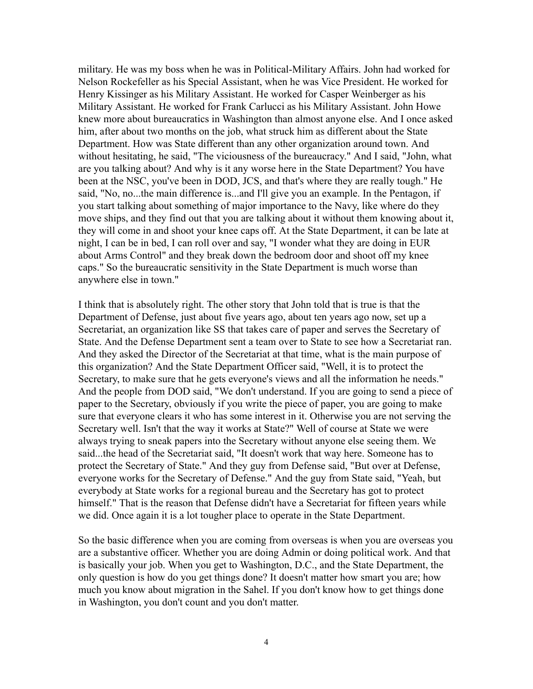military. He was my boss when he was in Political-Military Affairs. John had worked for Nelson Rockefeller as his Special Assistant, when he was Vice President. He worked for Henry Kissinger as his Military Assistant. He worked for Casper Weinberger as his Military Assistant. He worked for Frank Carlucci as his Military Assistant. John Howe knew more about bureaucratics in Washington than almost anyone else. And I once asked him, after about two months on the job, what struck him as different about the State Department. How was State different than any other organization around town. And without hesitating, he said, "The viciousness of the bureaucracy." And I said, "John, what are you talking about? And why is it any worse here in the State Department? You have been at the NSC, you've been in DOD, JCS, and that's where they are really tough." He said, "No, no...the main difference is...and I'll give you an example. In the Pentagon, if you start talking about something of major importance to the Navy, like where do they move ships, and they find out that you are talking about it without them knowing about it, they will come in and shoot your knee caps off. At the State Department, it can be late at night, I can be in bed, I can roll over and say, "I wonder what they are doing in EUR about Arms Control" and they break down the bedroom door and shoot off my knee caps." So the bureaucratic sensitivity in the State Department is much worse than anywhere else in town."

I think that is absolutely right. The other story that John told that is true is that the Department of Defense, just about five years ago, about ten years ago now, set up a Secretariat, an organization like SS that takes care of paper and serves the Secretary of State. And the Defense Department sent a team over to State to see how a Secretariat ran. And they asked the Director of the Secretariat at that time, what is the main purpose of this organization? And the State Department Officer said, "Well, it is to protect the Secretary, to make sure that he gets everyone's views and all the information he needs." And the people from DOD said, "We don't understand. If you are going to send a piece of paper to the Secretary, obviously if you write the piece of paper, you are going to make sure that everyone clears it who has some interest in it. Otherwise you are not serving the Secretary well. Isn't that the way it works at State?" Well of course at State we were always trying to sneak papers into the Secretary without anyone else seeing them. We said...the head of the Secretariat said, "It doesn't work that way here. Someone has to protect the Secretary of State." And they guy from Defense said, "But over at Defense, everyone works for the Secretary of Defense." And the guy from State said, "Yeah, but everybody at State works for a regional bureau and the Secretary has got to protect himself." That is the reason that Defense didn't have a Secretariat for fifteen years while we did. Once again it is a lot tougher place to operate in the State Department.

So the basic difference when you are coming from overseas is when you are overseas you are a substantive officer. Whether you are doing Admin or doing political work. And that is basically your job. When you get to Washington, D.C., and the State Department, the only question is how do you get things done? It doesn't matter how smart you are; how much you know about migration in the Sahel. If you don't know how to get things done in Washington, you don't count and you don't matter.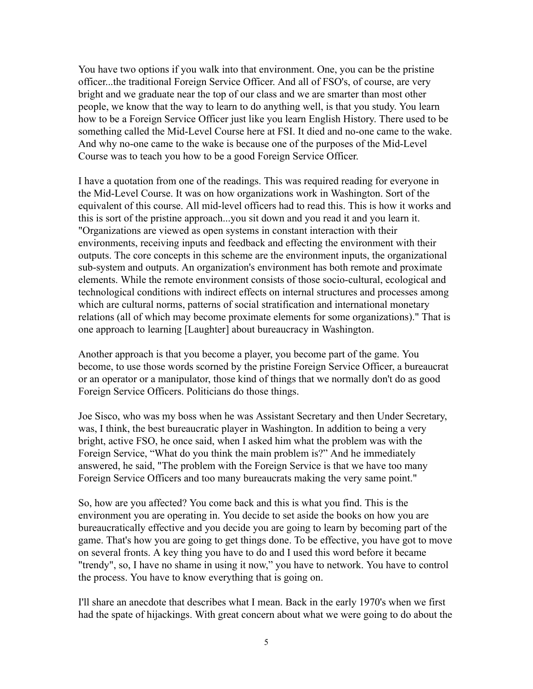You have two options if you walk into that environment. One, you can be the pristine officer...the traditional Foreign Service Officer. And all of FSO's, of course, are very bright and we graduate near the top of our class and we are smarter than most other people, we know that the way to learn to do anything well, is that you study. You learn how to be a Foreign Service Officer just like you learn English History. There used to be something called the Mid-Level Course here at FSI. It died and no-one came to the wake. And why no-one came to the wake is because one of the purposes of the Mid-Level Course was to teach you how to be a good Foreign Service Officer.

I have a quotation from one of the readings. This was required reading for everyone in the Mid-Level Course. It was on how organizations work in Washington. Sort of the equivalent of this course. All mid-level officers had to read this. This is how it works and this is sort of the pristine approach...you sit down and you read it and you learn it. "Organizations are viewed as open systems in constant interaction with their environments, receiving inputs and feedback and effecting the environment with their outputs. The core concepts in this scheme are the environment inputs, the organizational sub-system and outputs. An organization's environment has both remote and proximate elements. While the remote environment consists of those socio-cultural, ecological and technological conditions with indirect effects on internal structures and processes among which are cultural norms, patterns of social stratification and international monetary relations (all of which may become proximate elements for some organizations)." That is one approach to learning [Laughter] about bureaucracy in Washington.

Another approach is that you become a player, you become part of the game. You become, to use those words scorned by the pristine Foreign Service Officer, a bureaucrat or an operator or a manipulator, those kind of things that we normally don't do as good Foreign Service Officers. Politicians do those things.

Joe Sisco, who was my boss when he was Assistant Secretary and then Under Secretary, was, I think, the best bureaucratic player in Washington. In addition to being a very bright, active FSO, he once said, when I asked him what the problem was with the Foreign Service, "What do you think the main problem is?" And he immediately answered, he said, "The problem with the Foreign Service is that we have too many Foreign Service Officers and too many bureaucrats making the very same point."

So, how are you affected? You come back and this is what you find. This is the environment you are operating in. You decide to set aside the books on how you are bureaucratically effective and you decide you are going to learn by becoming part of the game. That's how you are going to get things done. To be effective, you have got to move on several fronts. A key thing you have to do and I used this word before it became "trendy", so, I have no shame in using it now," you have to network. You have to control the process. You have to know everything that is going on.

I'll share an anecdote that describes what I mean. Back in the early 1970's when we first had the spate of hijackings. With great concern about what we were going to do about the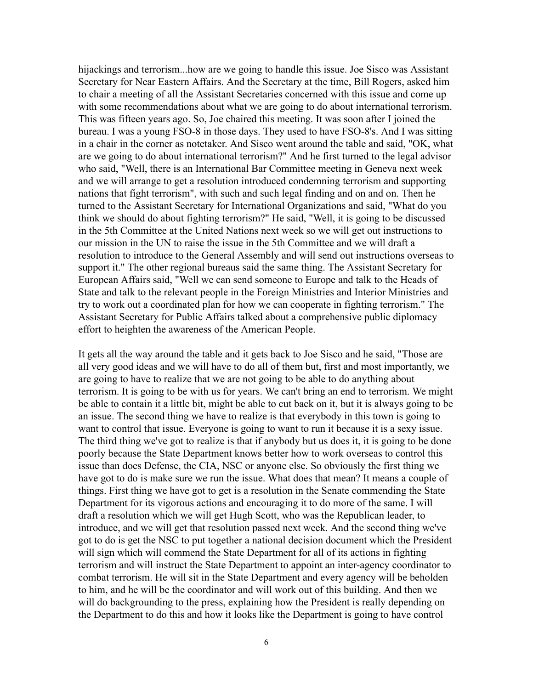hijackings and terrorism...how are we going to handle this issue. Joe Sisco was Assistant Secretary for Near Eastern Affairs. And the Secretary at the time, Bill Rogers, asked him to chair a meeting of all the Assistant Secretaries concerned with this issue and come up with some recommendations about what we are going to do about international terrorism. This was fifteen years ago. So, Joe chaired this meeting. It was soon after I joined the bureau. I was a young FSO-8 in those days. They used to have FSO-8's. And I was sitting in a chair in the corner as notetaker. And Sisco went around the table and said, "OK, what are we going to do about international terrorism?" And he first turned to the legal advisor who said, "Well, there is an International Bar Committee meeting in Geneva next week and we will arrange to get a resolution introduced condemning terrorism and supporting nations that fight terrorism", with such and such legal finding and on and on. Then he turned to the Assistant Secretary for International Organizations and said, "What do you think we should do about fighting terrorism?" He said, "Well, it is going to be discussed in the 5th Committee at the United Nations next week so we will get out instructions to our mission in the UN to raise the issue in the 5th Committee and we will draft a resolution to introduce to the General Assembly and will send out instructions overseas to support it." The other regional bureaus said the same thing. The Assistant Secretary for European Affairs said, "Well we can send someone to Europe and talk to the Heads of State and talk to the relevant people in the Foreign Ministries and Interior Ministries and try to work out a coordinated plan for how we can cooperate in fighting terrorism." The Assistant Secretary for Public Affairs talked about a comprehensive public diplomacy effort to heighten the awareness of the American People.

It gets all the way around the table and it gets back to Joe Sisco and he said, "Those are all very good ideas and we will have to do all of them but, first and most importantly, we are going to have to realize that we are not going to be able to do anything about terrorism. It is going to be with us for years. We can't bring an end to terrorism. We might be able to contain it a little bit, might be able to cut back on it, but it is always going to be an issue. The second thing we have to realize is that everybody in this town is going to want to control that issue. Everyone is going to want to run it because it is a sexy issue. The third thing we've got to realize is that if anybody but us does it, it is going to be done poorly because the State Department knows better how to work overseas to control this issue than does Defense, the CIA, NSC or anyone else. So obviously the first thing we have got to do is make sure we run the issue. What does that mean? It means a couple of things. First thing we have got to get is a resolution in the Senate commending the State Department for its vigorous actions and encouraging it to do more of the same. I will draft a resolution which we will get Hugh Scott, who was the Republican leader, to introduce, and we will get that resolution passed next week. And the second thing we've got to do is get the NSC to put together a national decision document which the President will sign which will commend the State Department for all of its actions in fighting terrorism and will instruct the State Department to appoint an inter-agency coordinator to combat terrorism. He will sit in the State Department and every agency will be beholden to him, and he will be the coordinator and will work out of this building. And then we will do backgrounding to the press, explaining how the President is really depending on the Department to do this and how it looks like the Department is going to have control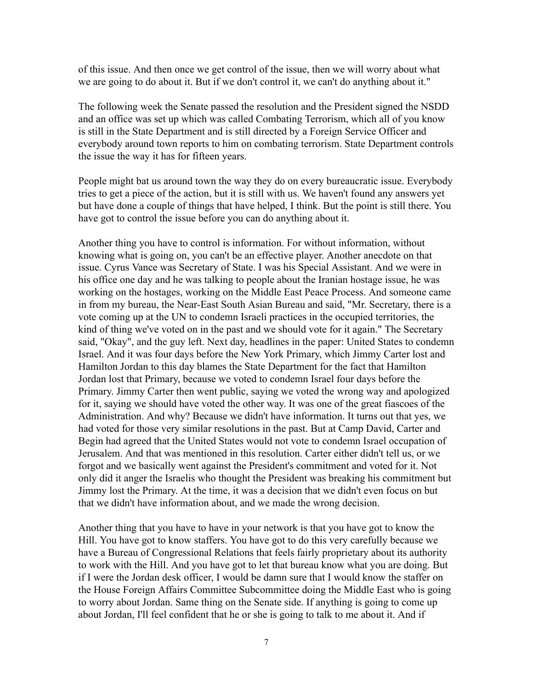of this issue. And then once we get control of the issue, then we will worry about what we are going to do about it. But if we don't control it, we can't do anything about it."

The following week the Senate passed the resolution and the President signed the NSDD and an office was set up which was called Combating Terrorism, which all of you know is still in the State Department and is still directed by a Foreign Service Officer and everybody around town reports to him on combating terrorism. State Department controls the issue the way it has for fifteen years.

People might bat us around town the way they do on every bureaucratic issue. Everybody tries to get a piece of the action, but it is still with us. We haven't found any answers yet but have done a couple of things that have helped, I think. But the point is still there. You have got to control the issue before you can do anything about it.

Another thing you have to control is information. For without information, without knowing what is going on, you can't be an effective player. Another anecdote on that issue. Cyrus Vance was Secretary of State. I was his Special Assistant. And we were in his office one day and he was talking to people about the Iranian hostage issue, he was working on the hostages, working on the Middle East Peace Process. And someone came in from my bureau, the Near-East South Asian Bureau and said, "Mr. Secretary, there is a vote coming up at the UN to condemn Israeli practices in the occupied territories, the kind of thing we've voted on in the past and we should vote for it again." The Secretary said, "Okay", and the guy left. Next day, headlines in the paper: United States to condemn Israel. And it was four days before the New York Primary, which Jimmy Carter lost and Hamilton Jordan to this day blames the State Department for the fact that Hamilton Jordan lost that Primary, because we voted to condemn Israel four days before the Primary. Jimmy Carter then went public, saying we voted the wrong way and apologized for it, saying we should have voted the other way. It was one of the great fiascoes of the Administration. And why? Because we didn't have information. It turns out that yes, we had voted for those very similar resolutions in the past. But at Camp David, Carter and Begin had agreed that the United States would not vote to condemn Israel occupation of Jerusalem. And that was mentioned in this resolution. Carter either didn't tell us, or we forgot and we basically went against the President's commitment and voted for it. Not only did it anger the Israelis who thought the President was breaking his commitment but Jimmy lost the Primary. At the time, it was a decision that we didn't even focus on but that we didn't have information about, and we made the wrong decision.

Another thing that you have to have in your network is that you have got to know the Hill. You have got to know staffers. You have got to do this very carefully because we have a Bureau of Congressional Relations that feels fairly proprietary about its authority to work with the Hill. And you have got to let that bureau know what you are doing. But if I were the Jordan desk officer, I would be damn sure that I would know the staffer on the House Foreign Affairs Committee Subcommittee doing the Middle East who is going to worry about Jordan. Same thing on the Senate side. If anything is going to come up about Jordan, I'll feel confident that he or she is going to talk to me about it. And if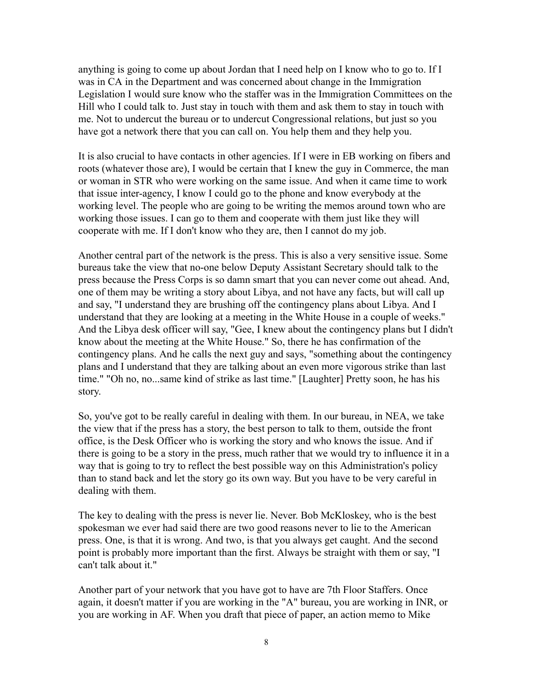anything is going to come up about Jordan that I need help on I know who to go to. If I was in CA in the Department and was concerned about change in the Immigration Legislation I would sure know who the staffer was in the Immigration Committees on the Hill who I could talk to. Just stay in touch with them and ask them to stay in touch with me. Not to undercut the bureau or to undercut Congressional relations, but just so you have got a network there that you can call on. You help them and they help you.

It is also crucial to have contacts in other agencies. If I were in EB working on fibers and roots (whatever those are), I would be certain that I knew the guy in Commerce, the man or woman in STR who were working on the same issue. And when it came time to work that issue inter-agency, I know I could go to the phone and know everybody at the working level. The people who are going to be writing the memos around town who are working those issues. I can go to them and cooperate with them just like they will cooperate with me. If I don't know who they are, then I cannot do my job.

Another central part of the network is the press. This is also a very sensitive issue. Some bureaus take the view that no-one below Deputy Assistant Secretary should talk to the press because the Press Corps is so damn smart that you can never come out ahead. And, one of them may be writing a story about Libya, and not have any facts, but will call up and say, "I understand they are brushing off the contingency plans about Libya. And I understand that they are looking at a meeting in the White House in a couple of weeks." And the Libya desk officer will say, "Gee, I knew about the contingency plans but I didn't know about the meeting at the White House." So, there he has confirmation of the contingency plans. And he calls the next guy and says, "something about the contingency plans and I understand that they are talking about an even more vigorous strike than last time." "Oh no, no...same kind of strike as last time." [Laughter] Pretty soon, he has his story.

So, you've got to be really careful in dealing with them. In our bureau, in NEA, we take the view that if the press has a story, the best person to talk to them, outside the front office, is the Desk Officer who is working the story and who knows the issue. And if there is going to be a story in the press, much rather that we would try to influence it in a way that is going to try to reflect the best possible way on this Administration's policy than to stand back and let the story go its own way. But you have to be very careful in dealing with them.

The key to dealing with the press is never lie. Never. Bob McKloskey, who is the best spokesman we ever had said there are two good reasons never to lie to the American press. One, is that it is wrong. And two, is that you always get caught. And the second point is probably more important than the first. Always be straight with them or say, "I can't talk about it."

Another part of your network that you have got to have are 7th Floor Staffers. Once again, it doesn't matter if you are working in the "A" bureau, you are working in INR, or you are working in AF. When you draft that piece of paper, an action memo to Mike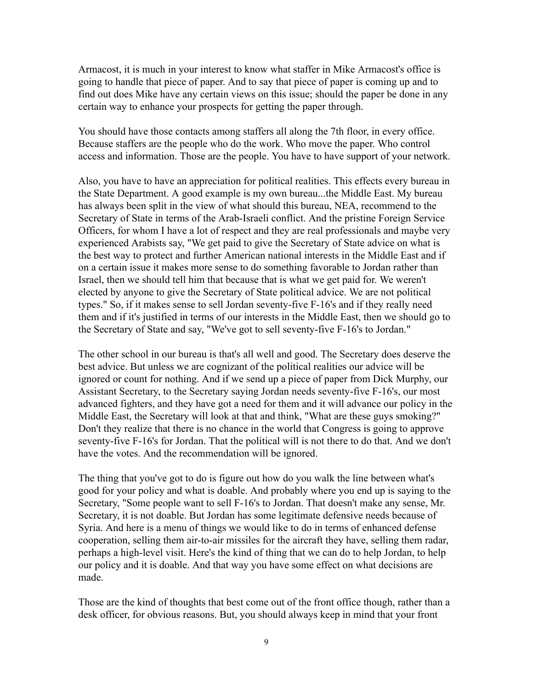Armacost, it is much in your interest to know what staffer in Mike Armacost's office is going to handle that piece of paper. And to say that piece of paper is coming up and to find out does Mike have any certain views on this issue; should the paper be done in any certain way to enhance your prospects for getting the paper through.

You should have those contacts among staffers all along the 7th floor, in every office. Because staffers are the people who do the work. Who move the paper. Who control access and information. Those are the people. You have to have support of your network.

Also, you have to have an appreciation for political realities. This effects every bureau in the State Department. A good example is my own bureau...the Middle East. My bureau has always been split in the view of what should this bureau, NEA, recommend to the Secretary of State in terms of the Arab-Israeli conflict. And the pristine Foreign Service Officers, for whom I have a lot of respect and they are real professionals and maybe very experienced Arabists say, "We get paid to give the Secretary of State advice on what is the best way to protect and further American national interests in the Middle East and if on a certain issue it makes more sense to do something favorable to Jordan rather than Israel, then we should tell him that because that is what we get paid for. We weren't elected by anyone to give the Secretary of State political advice. We are not political types." So, if it makes sense to sell Jordan seventy-five F-16's and if they really need them and if it's justified in terms of our interests in the Middle East, then we should go to the Secretary of State and say, "We've got to sell seventy-five F-16's to Jordan."

The other school in our bureau is that's all well and good. The Secretary does deserve the best advice. But unless we are cognizant of the political realities our advice will be ignored or count for nothing. And if we send up a piece of paper from Dick Murphy, our Assistant Secretary, to the Secretary saying Jordan needs seventy-five F-16's, our most advanced fighters, and they have got a need for them and it will advance our policy in the Middle East, the Secretary will look at that and think, "What are these guys smoking?" Don't they realize that there is no chance in the world that Congress is going to approve seventy-five F-16's for Jordan. That the political will is not there to do that. And we don't have the votes. And the recommendation will be ignored.

The thing that you've got to do is figure out how do you walk the line between what's good for your policy and what is doable. And probably where you end up is saying to the Secretary, "Some people want to sell F-16's to Jordan. That doesn't make any sense, Mr. Secretary, it is not doable. But Jordan has some legitimate defensive needs because of Syria. And here is a menu of things we would like to do in terms of enhanced defense cooperation, selling them air-to-air missiles for the aircraft they have, selling them radar, perhaps a high-level visit. Here's the kind of thing that we can do to help Jordan, to help our policy and it is doable. And that way you have some effect on what decisions are made.

Those are the kind of thoughts that best come out of the front office though, rather than a desk officer, for obvious reasons. But, you should always keep in mind that your front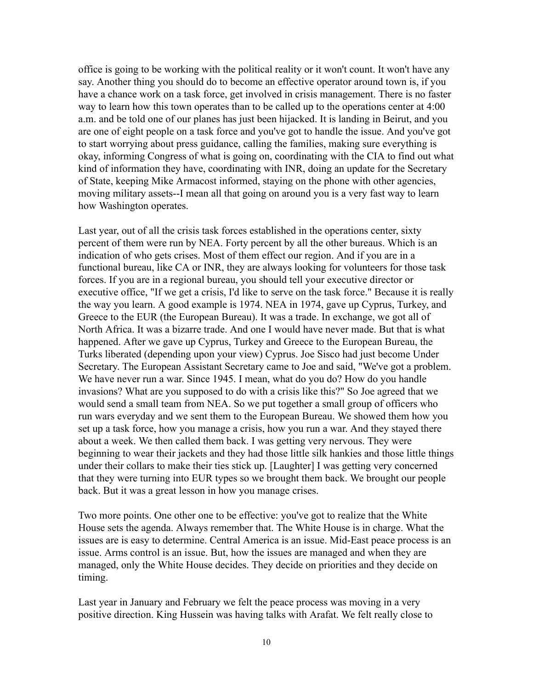office is going to be working with the political reality or it won't count. It won't have any say. Another thing you should do to become an effective operator around town is, if you have a chance work on a task force, get involved in crisis management. There is no faster way to learn how this town operates than to be called up to the operations center at 4:00 a.m. and be told one of our planes has just been hijacked. It is landing in Beirut, and you are one of eight people on a task force and you've got to handle the issue. And you've got to start worrying about press guidance, calling the families, making sure everything is okay, informing Congress of what is going on, coordinating with the CIA to find out what kind of information they have, coordinating with INR, doing an update for the Secretary of State, keeping Mike Armacost informed, staying on the phone with other agencies, moving military assets--I mean all that going on around you is a very fast way to learn how Washington operates.

Last year, out of all the crisis task forces established in the operations center, sixty percent of them were run by NEA. Forty percent by all the other bureaus. Which is an indication of who gets crises. Most of them effect our region. And if you are in a functional bureau, like CA or INR, they are always looking for volunteers for those task forces. If you are in a regional bureau, you should tell your executive director or executive office, "If we get a crisis, I'd like to serve on the task force." Because it is really the way you learn. A good example is 1974. NEA in 1974, gave up Cyprus, Turkey, and Greece to the EUR (the European Bureau). It was a trade. In exchange, we got all of North Africa. It was a bizarre trade. And one I would have never made. But that is what happened. After we gave up Cyprus, Turkey and Greece to the European Bureau, the Turks liberated (depending upon your view) Cyprus. Joe Sisco had just become Under Secretary. The European Assistant Secretary came to Joe and said, "We've got a problem. We have never run a war. Since 1945. I mean, what do you do? How do you handle invasions? What are you supposed to do with a crisis like this?" So Joe agreed that we would send a small team from NEA. So we put together a small group of officers who run wars everyday and we sent them to the European Bureau. We showed them how you set up a task force, how you manage a crisis, how you run a war. And they stayed there about a week. We then called them back. I was getting very nervous. They were beginning to wear their jackets and they had those little silk hankies and those little things under their collars to make their ties stick up. [Laughter] I was getting very concerned that they were turning into EUR types so we brought them back. We brought our people back. But it was a great lesson in how you manage crises.

Two more points. One other one to be effective: you've got to realize that the White House sets the agenda. Always remember that. The White House is in charge. What the issues are is easy to determine. Central America is an issue. Mid-East peace process is an issue. Arms control is an issue. But, how the issues are managed and when they are managed, only the White House decides. They decide on priorities and they decide on timing.

Last year in January and February we felt the peace process was moving in a very positive direction. King Hussein was having talks with Arafat. We felt really close to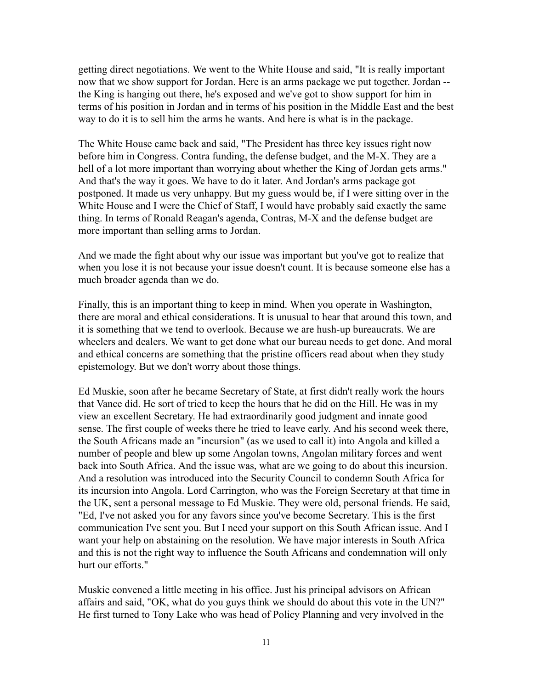getting direct negotiations. We went to the White House and said, "It is really important now that we show support for Jordan. Here is an arms package we put together. Jordan - the King is hanging out there, he's exposed and we've got to show support for him in terms of his position in Jordan and in terms of his position in the Middle East and the best way to do it is to sell him the arms he wants. And here is what is in the package.

The White House came back and said, "The President has three key issues right now before him in Congress. Contra funding, the defense budget, and the M-X. They are a hell of a lot more important than worrying about whether the King of Jordan gets arms." And that's the way it goes. We have to do it later. And Jordan's arms package got postponed. It made us very unhappy. But my guess would be, if I were sitting over in the White House and I were the Chief of Staff, I would have probably said exactly the same thing. In terms of Ronald Reagan's agenda, Contras, M-X and the defense budget are more important than selling arms to Jordan.

And we made the fight about why our issue was important but you've got to realize that when you lose it is not because your issue doesn't count. It is because someone else has a much broader agenda than we do.

Finally, this is an important thing to keep in mind. When you operate in Washington, there are moral and ethical considerations. It is unusual to hear that around this town, and it is something that we tend to overlook. Because we are hush-up bureaucrats. We are wheelers and dealers. We want to get done what our bureau needs to get done. And moral and ethical concerns are something that the pristine officers read about when they study epistemology. But we don't worry about those things.

Ed Muskie, soon after he became Secretary of State, at first didn't really work the hours that Vance did. He sort of tried to keep the hours that he did on the Hill. He was in my view an excellent Secretary. He had extraordinarily good judgment and innate good sense. The first couple of weeks there he tried to leave early. And his second week there, the South Africans made an "incursion" (as we used to call it) into Angola and killed a number of people and blew up some Angolan towns, Angolan military forces and went back into South Africa. And the issue was, what are we going to do about this incursion. And a resolution was introduced into the Security Council to condemn South Africa for its incursion into Angola. Lord Carrington, who was the Foreign Secretary at that time in the UK, sent a personal message to Ed Muskie. They were old, personal friends. He said, "Ed, I've not asked you for any favors since you've become Secretary. This is the first communication I've sent you. But I need your support on this South African issue. And I want your help on abstaining on the resolution. We have major interests in South Africa and this is not the right way to influence the South Africans and condemnation will only hurt our efforts."

Muskie convened a little meeting in his office. Just his principal advisors on African affairs and said, "OK, what do you guys think we should do about this vote in the UN?" He first turned to Tony Lake who was head of Policy Planning and very involved in the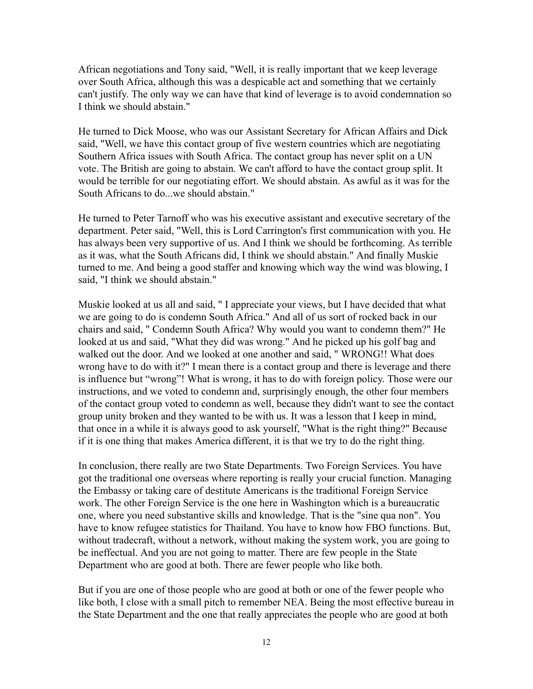African negotiations and Tony said, "Well, it is really important that we keep leverage over South Africa, although this was a despicable act and something that we certainly can't justify. The only way we can have that kind of leverage is to avoid condemnation so I think we should abstain."

He turned to Dick Moose, who was our Assistant Secretary for African Affairs and Dick said, "Well, we have this contact group of five western countries which are negotiating Southern Africa issues with South Africa. The contact group has never split on a UN vote. The British are going to abstain. We can't afford to have the contact group split. It would be terrible for our negotiating effort. We should abstain. As awful as it was for the South Africans to do...we should abstain."

He turned to Peter Tarnoff who was his executive assistant and executive secretary of the department. Peter said, "Well, this is Lord Carrington's first communication with you. He has always been very supportive of us. And I think we should be forthcoming. As terrible as it was, what the South Africans did, I think we should abstain." And finally Muskie turned to me. And being a good staffer and knowing which way the wind was blowing, I said, "I think we should abstain."

Muskie looked at us all and said, " I appreciate your views, but I have decided that what we are going to do is condemn South Africa." And all of us sort of rocked back in our chairs and said, " Condemn South Africa? Why would you want to condemn them?" He looked at us and said, "What they did was wrong." And he picked up his golf bag and walked out the door. And we looked at one another and said, " WRONG!! What does wrong have to do with it?" I mean there is a contact group and there is leverage and there is influence but "wrong"! What is wrong, it has to do with foreign policy. Those were our instructions, and we voted to condemn and, surprisingly enough, the other four members of the contact group voted to condemn as well, because they didn't want to see the contact group unity broken and they wanted to be with us. It was a lesson that I keep in mind, that once in a while it is always good to ask yourself, "What is the right thing?" Because if it is one thing that makes America different, it is that we try to do the right thing.

In conclusion, there really are two State Departments. Two Foreign Services. You have got the traditional one overseas where reporting is really your crucial function. Managing the Embassy or taking care of destitute Americans is the traditional Foreign Service work. The other Foreign Service is the one here in Washington which is a bureaucratic one, where you need substantive skills and knowledge. That is the "sine qua non". You have to know refugee statistics for Thailand. You have to know how FBO functions. But, without tradecraft, without a network, without making the system work, you are going to be ineffectual. And you are not going to matter. There are few people in the State Department who are good at both. There are fewer people who like both.

But if you are one of those people who are good at both or one of the fewer people who like both, I close with a small pitch to remember NEA. Being the most effective bureau in the State Department and the one that really appreciates the people who are good at both